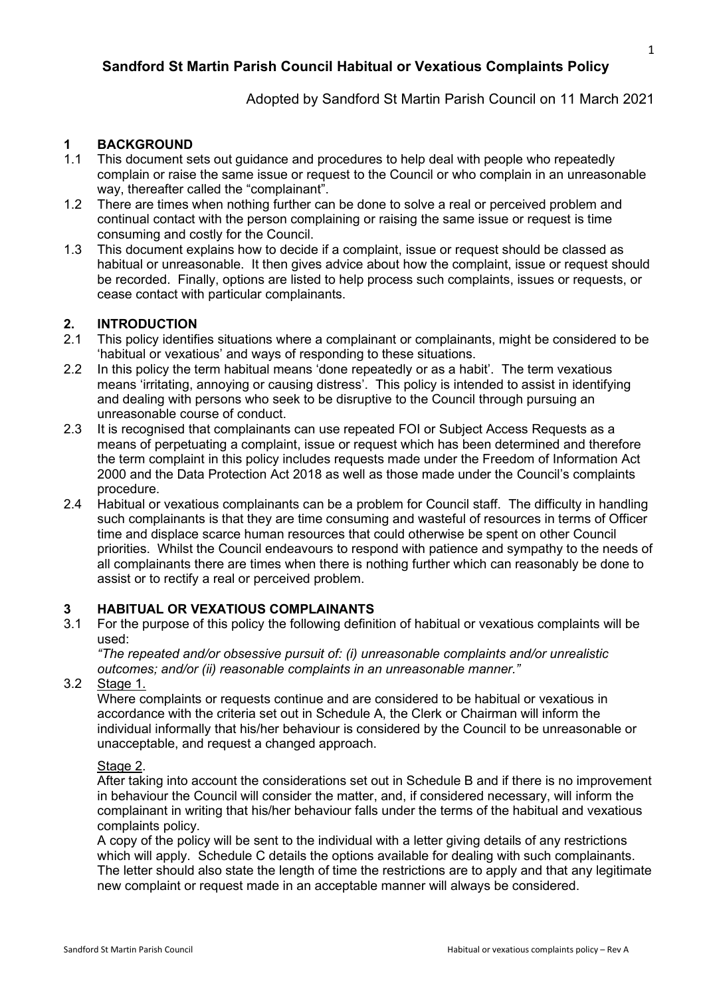# **Sandford St Martin Parish Council Habitual or Vexatious Complaints Policy**

Adopted by Sandford St Martin Parish Council on 11 March 2021

### **1 BACKGROUND**

- 1.1 This document sets out guidance and procedures to help deal with people who repeatedly complain or raise the same issue or request to the Council or who complain in an unreasonable way, thereafter called the "complainant".
- 1.2 There are times when nothing further can be done to solve a real or perceived problem and continual contact with the person complaining or raising the same issue or request is time consuming and costly for the Council.
- 1.3 This document explains how to decide if a complaint, issue or request should be classed as habitual or unreasonable. It then gives advice about how the complaint, issue or request should be recorded. Finally, options are listed to help process such complaints, issues or requests, or cease contact with particular complainants.

# **2. INTRODUCTION**

- This policy identifies situations where a complainant or complainants, might be considered to be 'habitual or vexatious' and ways of responding to these situations.
- 2.2 In this policy the term habitual means 'done repeatedly or as a habit'. The term vexatious means 'irritating, annoying or causing distress'. This policy is intended to assist in identifying and dealing with persons who seek to be disruptive to the Council through pursuing an unreasonable course of conduct.
- 2.3 It is recognised that complainants can use repeated FOI or Subject Access Requests as a means of perpetuating a complaint, issue or request which has been determined and therefore the term complaint in this policy includes requests made under the Freedom of Information Act 2000 and the Data Protection Act 2018 as well as those made under the Council's complaints procedure.
- 2.4 Habitual or vexatious complainants can be a problem for Council staff. The difficulty in handling such complainants is that they are time consuming and wasteful of resources in terms of Officer time and displace scarce human resources that could otherwise be spent on other Council priorities. Whilst the Council endeavours to respond with patience and sympathy to the needs of all complainants there are times when there is nothing further which can reasonably be done to assist or to rectify a real or perceived problem.

#### **3 HABITUAL OR VEXATIOUS COMPLAINANTS**

3.1 For the purpose of this policy the following definition of habitual or vexatious complaints will be used:

*"The repeated and/or obsessive pursuit of: (i) unreasonable complaints and/or unrealistic outcomes; and/or (ii) reasonable complaints in an unreasonable manner."*

3.2 Stage 1.

Where complaints or requests continue and are considered to be habitual or vexatious in accordance with the criteria set out in Schedule A, the Clerk or Chairman will inform the individual informally that his/her behaviour is considered by the Council to be unreasonable or unacceptable, and request a changed approach.

#### Stage 2.

After taking into account the considerations set out in Schedule B and if there is no improvement in behaviour the Council will consider the matter, and, if considered necessary, will inform the complainant in writing that his/her behaviour falls under the terms of the habitual and vexatious complaints policy.

A copy of the policy will be sent to the individual with a letter giving details of any restrictions which will apply. Schedule C details the options available for dealing with such complainants. The letter should also state the length of time the restrictions are to apply and that any legitimate new complaint or request made in an acceptable manner will always be considered.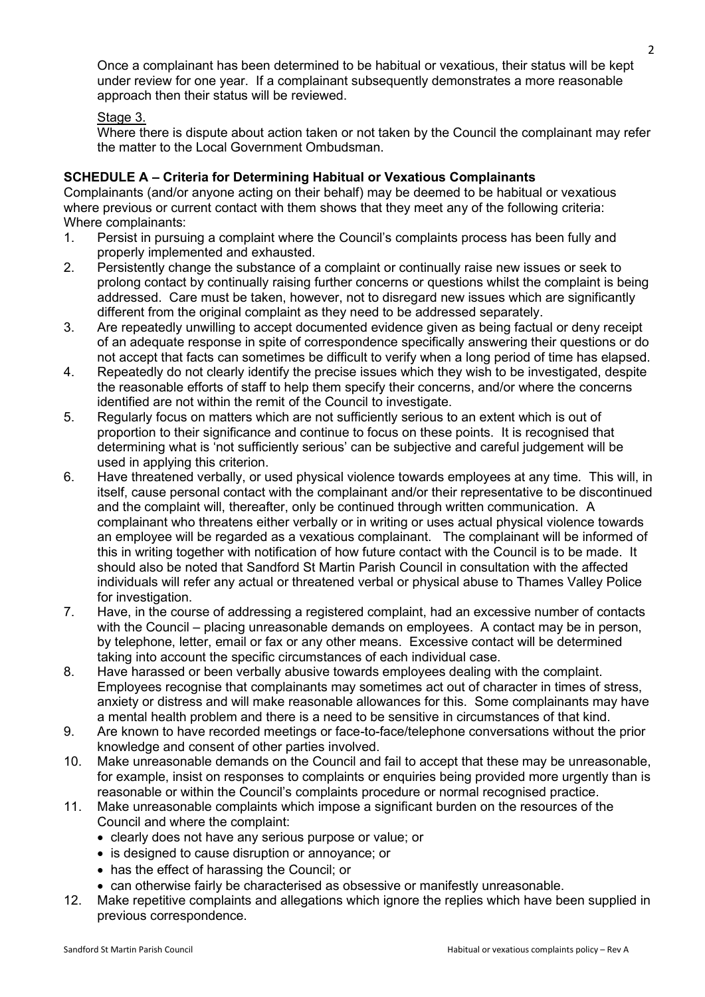Once a complainant has been determined to be habitual or vexatious, their status will be kept under review for one year. If a complainant subsequently demonstrates a more reasonable approach then their status will be reviewed.

#### Stage 3.

Where there is dispute about action taken or not taken by the Council the complainant may refer the matter to the Local Government Ombudsman.

#### **SCHEDULE A – Criteria for Determining Habitual or Vexatious Complainants**

Complainants (and/or anyone acting on their behalf) may be deemed to be habitual or vexatious where previous or current contact with them shows that they meet any of the following criteria: Where complainants:

- 1. Persist in pursuing a complaint where the Council's complaints process has been fully and properly implemented and exhausted.
- 2. Persistently change the substance of a complaint or continually raise new issues or seek to prolong contact by continually raising further concerns or questions whilst the complaint is being addressed. Care must be taken, however, not to disregard new issues which are significantly different from the original complaint as they need to be addressed separately.
- 3. Are repeatedly unwilling to accept documented evidence given as being factual or deny receipt of an adequate response in spite of correspondence specifically answering their questions or do not accept that facts can sometimes be difficult to verify when a long period of time has elapsed.
- 4. Repeatedly do not clearly identify the precise issues which they wish to be investigated, despite the reasonable efforts of staff to help them specify their concerns, and/or where the concerns identified are not within the remit of the Council to investigate.
- 5. Regularly focus on matters which are not sufficiently serious to an extent which is out of proportion to their significance and continue to focus on these points. It is recognised that determining what is 'not sufficiently serious' can be subjective and careful judgement will be used in applying this criterion.
- 6. Have threatened verbally, or used physical violence towards employees at any time. This will, in itself, cause personal contact with the complainant and/or their representative to be discontinued and the complaint will, thereafter, only be continued through written communication. A complainant who threatens either verbally or in writing or uses actual physical violence towards an employee will be regarded as a vexatious complainant. The complainant will be informed of this in writing together with notification of how future contact with the Council is to be made. It should also be noted that Sandford St Martin Parish Council in consultation with the affected individuals will refer any actual or threatened verbal or physical abuse to Thames Valley Police for investigation.
- 7. Have, in the course of addressing a registered complaint, had an excessive number of contacts with the Council – placing unreasonable demands on employees. A contact may be in person, by telephone, letter, email or fax or any other means. Excessive contact will be determined taking into account the specific circumstances of each individual case.
- 8. Have harassed or been verbally abusive towards employees dealing with the complaint. Employees recognise that complainants may sometimes act out of character in times of stress, anxiety or distress and will make reasonable allowances for this. Some complainants may have a mental health problem and there is a need to be sensitive in circumstances of that kind.
- 9. Are known to have recorded meetings or face-to-face/telephone conversations without the prior knowledge and consent of other parties involved.
- 10. Make unreasonable demands on the Council and fail to accept that these may be unreasonable, for example, insist on responses to complaints or enquiries being provided more urgently than is reasonable or within the Council's complaints procedure or normal recognised practice.
- 11. Make unreasonable complaints which impose a significant burden on the resources of the Council and where the complaint:
	- clearly does not have any serious purpose or value; or
	- is designed to cause disruption or annoyance; or
	- has the effect of harassing the Council; or
	- can otherwise fairly be characterised as obsessive or manifestly unreasonable.
- 12. Make repetitive complaints and allegations which ignore the replies which have been supplied in previous correspondence.